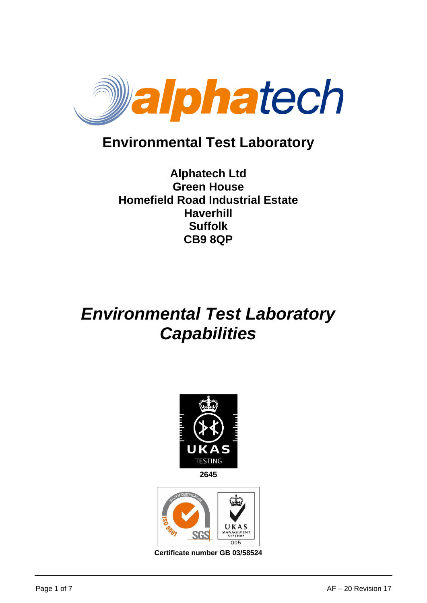

## **Environmental Test Laboratory**

#### **Alphatech Ltd Green House Homefield Road Industrial Estate Haverhill Suffolk CB9 8QP**

# *Environmental Test Laboratory Capabilities*





**Certificate number GB 03/58524**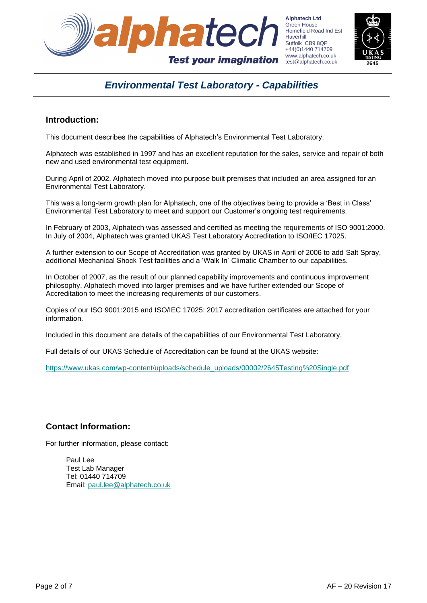



#### *Environmental Test Laboratory - Capabilities*

#### **Introduction:**

This document describes the capabilities of Alphatech's Environmental Test Laboratory.

Alphatech was established in 1997 and has an excellent reputation for the sales, service and repair of both new and used environmental test equipment.

During April of 2002, Alphatech moved into purpose built premises that included an area assigned for an Environmental Test Laboratory.

This was a long-term growth plan for Alphatech, one of the objectives being to provide a 'Best in Class' Environmental Test Laboratory to meet and support our Customer's ongoing test requirements.

In February of 2003, Alphatech was assessed and certified as meeting the requirements of ISO 9001:2000. In July of 2004, Alphatech was granted UKAS Test Laboratory Accreditation to ISO/IEC 17025.

A further extension to our Scope of Accreditation was granted by UKAS in April of 2006 to add Salt Spray, additional Mechanical Shock Test facilities and a 'Walk In' Climatic Chamber to our capabilities.

In October of 2007, as the result of our planned capability improvements and continuous improvement philosophy, Alphatech moved into larger premises and we have further extended our Scope of Accreditation to meet the increasing requirements of our customers.

Copies of our ISO 9001:2015 and ISO/IEC 17025: 2017 accreditation certificates are attached for your information.

Included in this document are details of the capabilities of our Environmental Test Laboratory.

Full details of our UKAS Schedule of Accreditation can be found at the UKAS website:

[https://www.ukas.com/wp-content/uploads/schedule\\_uploads/00002/2645Testing%20Single.pdf](https://www.ukas.com/wp-content/uploads/schedule_uploads/00002/2645Testing%20Single.pdf)

#### **Contact Information:**

For further information, please contact:

Paul Lee Test Lab Manager Tel: 01440 714709 Email: [paul.lee@alphatech.co.uk](mailto:paul.lee@alphatech.co.uk)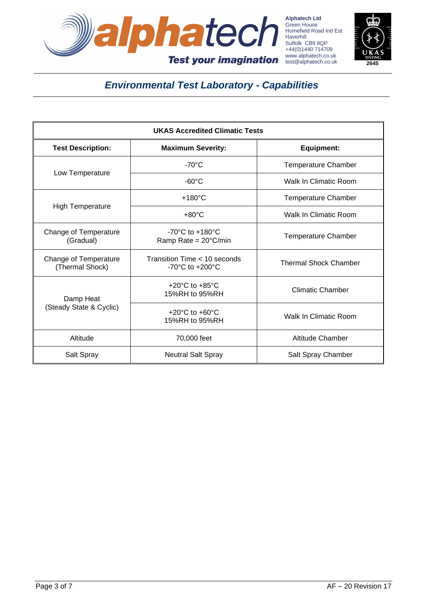



| <b>UKAS Accredited Climatic Tests</b>    |                                                                       |                              |  |
|------------------------------------------|-----------------------------------------------------------------------|------------------------------|--|
| <b>Test Description:</b>                 | <b>Maximum Severity:</b>                                              | Equipment:                   |  |
| Low Temperature                          | $-70^{\circ}$ C                                                       | <b>Temperature Chamber</b>   |  |
|                                          | $-60^{\circ}$ C                                                       | <b>Walk In Climatic Room</b> |  |
| <b>High Temperature</b>                  | $+180^{\circ}$ C                                                      | <b>Temperature Chamber</b>   |  |
|                                          | $+80^{\circ}$ C                                                       | Walk In Climatic Room        |  |
| Change of Temperature<br>(Gradual)       | $-70^{\circ}$ C to $+180^{\circ}$ C<br>Ramp Rate = $20^{\circ}$ C/min | <b>Temperature Chamber</b>   |  |
| Change of Temperature<br>(Thermal Shock) | Transition Time < 10 seconds<br>$-70^{\circ}$ C to $+200^{\circ}$ C   | <b>Thermal Shock Chamber</b> |  |
| Damp Heat<br>(Steady State & Cyclic)     | +20 $^{\circ}$ C to +85 $^{\circ}$ C<br>15%RH to 95%RH                | <b>Climatic Chamber</b>      |  |
|                                          | $+20^{\circ}$ C to $+60^{\circ}$ C<br>15%RH to 95%RH                  | <b>Walk In Climatic Room</b> |  |
| Altitude                                 | 70,000 feet                                                           | Altitude Chamber             |  |
| Salt Spray                               | <b>Neutral Salt Spray</b>                                             | Salt Spray Chamber           |  |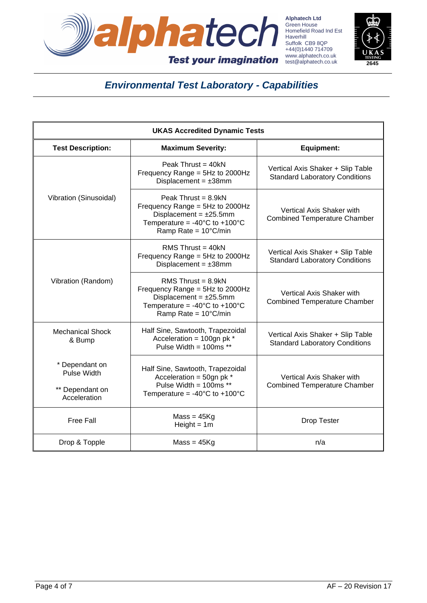



| <b>UKAS Accredited Dynamic Tests</b>                                    |                                                                                                                                                                                  |                                                                            |  |  |
|-------------------------------------------------------------------------|----------------------------------------------------------------------------------------------------------------------------------------------------------------------------------|----------------------------------------------------------------------------|--|--|
| <b>Test Description:</b>                                                | <b>Maximum Severity:</b>                                                                                                                                                         | <b>Equipment:</b>                                                          |  |  |
| Vibration (Sinusoidal)                                                  | Peak Thrust = $40kN$<br>Frequency Range = $5Hz$ to 2000Hz<br>Displacement = $\pm 38$ mm                                                                                          | Vertical Axis Shaker + Slip Table<br><b>Standard Laboratory Conditions</b> |  |  |
|                                                                         | Peak Thrust = $8.9kN$<br>Frequency Range = $5Hz$ to 2000Hz<br>Displacement = $±25.5$ mm<br>Temperature = $-40^{\circ}$ C to $+100^{\circ}$ C<br>Ramp Rate = 10°C/min             | Vertical Axis Shaker with<br><b>Combined Temperature Chamber</b>           |  |  |
|                                                                         | RMS Thrust = $40kN$<br>Frequency Range = 5Hz to 2000Hz<br>Displacement = $\pm 38$ mm                                                                                             | Vertical Axis Shaker + Slip Table<br><b>Standard Laboratory Conditions</b> |  |  |
| Vibration (Random)                                                      | RMS Thrust = $8.9kN$<br>Frequency Range = 5Hz to 2000Hz<br>Displacement = $\pm 25.5$ mm<br>Temperature = -40 $^{\circ}$ C to +100 $^{\circ}$ C<br>Ramp Rate = $10^{\circ}$ C/min | Vertical Axis Shaker with<br><b>Combined Temperature Chamber</b>           |  |  |
| <b>Mechanical Shock</b><br>& Bump                                       | Half Sine, Sawtooth, Trapezoidal<br>Acceleration = $100$ gn pk *<br>Pulse Width = $100ms**$                                                                                      | Vertical Axis Shaker + Slip Table<br><b>Standard Laboratory Conditions</b> |  |  |
| * Dependant on<br><b>Pulse Width</b><br>** Dependant on<br>Acceleration | Half Sine, Sawtooth, Trapezoidal<br>Acceleration = $50$ gn pk *<br>Pulse Width = $100ms$ **<br>Temperature = $-40^{\circ}$ C to $+100^{\circ}$ C                                 | Vertical Axis Shaker with<br><b>Combined Temperature Chamber</b>           |  |  |
| <b>Free Fall</b>                                                        | $Mass = 45Kg$<br>$Height = 1m$                                                                                                                                                   | <b>Drop Tester</b>                                                         |  |  |
| Drop & Topple                                                           | $Mass = 45Kg$                                                                                                                                                                    | n/a                                                                        |  |  |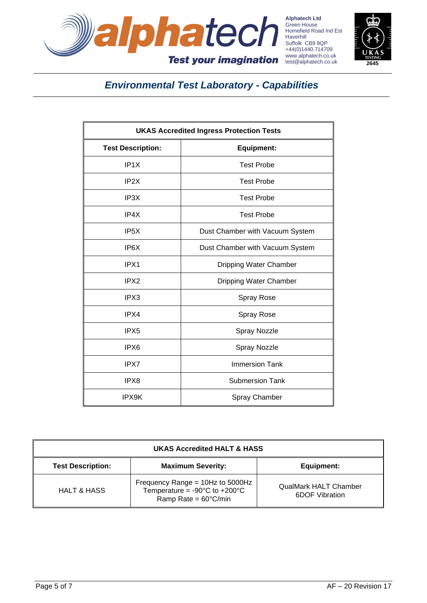



| <b>UKAS Accredited Ingress Protection Tests</b> |                                 |  |  |  |
|-------------------------------------------------|---------------------------------|--|--|--|
| <b>Test Description:</b>                        | <b>Equipment:</b>               |  |  |  |
| IP <sub>1</sub> X                               | <b>Test Probe</b>               |  |  |  |
| IP <sub>2</sub> X                               | <b>Test Probe</b>               |  |  |  |
| IP3X                                            | <b>Test Probe</b>               |  |  |  |
| IP4X                                            | <b>Test Probe</b>               |  |  |  |
| IP <sub>5</sub> X                               | Dust Chamber with Vacuum System |  |  |  |
| IP <sub>6</sub> X                               | Dust Chamber with Vacuum System |  |  |  |
| IPX1                                            | Dripping Water Chamber          |  |  |  |
| IPX <sub>2</sub>                                | Dripping Water Chamber          |  |  |  |
| IPX3                                            | Spray Rose                      |  |  |  |
| IPX4                                            | Spray Rose                      |  |  |  |
| IPX <sub>5</sub>                                | Spray Nozzle                    |  |  |  |
| IPX6                                            | Spray Nozzle                    |  |  |  |
| IPX7                                            | <b>Immersion Tank</b>           |  |  |  |
| IPX8                                            | <b>Submersion Tank</b>          |  |  |  |
| IPX9K                                           | <b>Spray Chamber</b>            |  |  |  |

| <b>UKAS Accredited HALT &amp; HASS</b> |                                                                                                                         |                                                |  |  |
|----------------------------------------|-------------------------------------------------------------------------------------------------------------------------|------------------------------------------------|--|--|
| <b>Test Description:</b>               | <b>Maximum Severity:</b>                                                                                                | Equipment:                                     |  |  |
| <b>HALT &amp; HASS</b>                 | Frequency Range = 10Hz to 5000Hz<br>Temperature = $-90^{\circ}$ C to $+200^{\circ}$ C<br>Ramp Rate = $60^{\circ}$ C/min | <b>QualMark HALT Chamber</b><br>6DOF Vibration |  |  |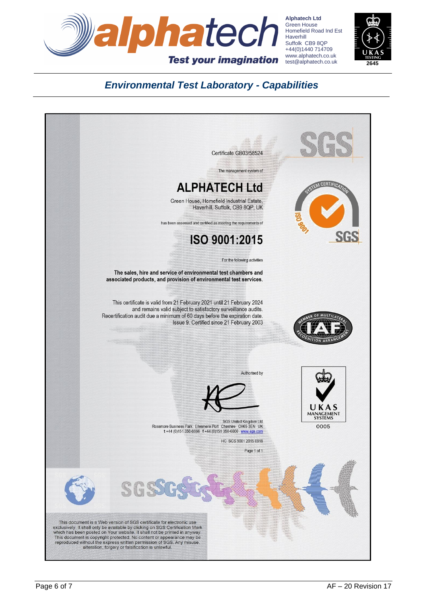